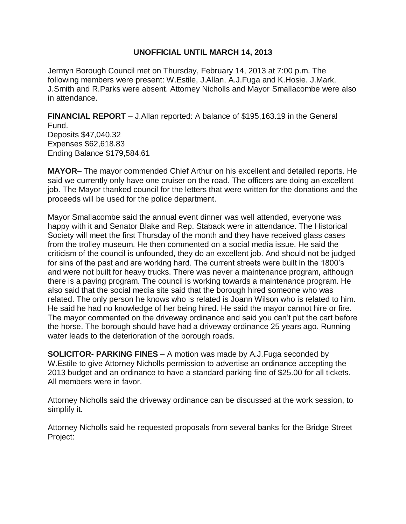## **UNOFFICIAL UNTIL MARCH 14, 2013**

Jermyn Borough Council met on Thursday, February 14, 2013 at 7:00 p.m. The following members were present: W.Estile, J.Allan, A.J.Fuga and K.Hosie. J.Mark, J.Smith and R.Parks were absent. Attorney Nicholls and Mayor Smallacombe were also in attendance.

**FINANCIAL REPORT** – J.Allan reported: A balance of \$195,163.19 in the General Fund. Deposits \$47,040.32 Expenses \$62,618.83 Ending Balance \$179,584.61

**MAYOR**– The mayor commended Chief Arthur on his excellent and detailed reports. He said we currently only have one cruiser on the road. The officers are doing an excellent job. The Mayor thanked council for the letters that were written for the donations and the proceeds will be used for the police department.

Mayor Smallacombe said the annual event dinner was well attended, everyone was happy with it and Senator Blake and Rep. Staback were in attendance. The Historical Society will meet the first Thursday of the month and they have received glass cases from the trolley museum. He then commented on a social media issue. He said the criticism of the council is unfounded, they do an excellent job. And should not be judged for sins of the past and are working hard. The current streets were built in the 1800's and were not built for heavy trucks. There was never a maintenance program, although there is a paving program. The council is working towards a maintenance program. He also said that the social media site said that the borough hired someone who was related. The only person he knows who is related is Joann Wilson who is related to him. He said he had no knowledge of her being hired. He said the mayor cannot hire or fire. The mayor commented on the driveway ordinance and said you can't put the cart before the horse. The borough should have had a driveway ordinance 25 years ago. Running water leads to the deterioration of the borough roads.

**SOLICITOR- PARKING FINES** – A motion was made by A.J.Fuga seconded by W.Estile to give Attorney Nicholls permission to advertise an ordinance accepting the 2013 budget and an ordinance to have a standard parking fine of \$25.00 for all tickets. All members were in favor.

Attorney Nicholls said the driveway ordinance can be discussed at the work session, to simplify it.

Attorney Nicholls said he requested proposals from several banks for the Bridge Street Project: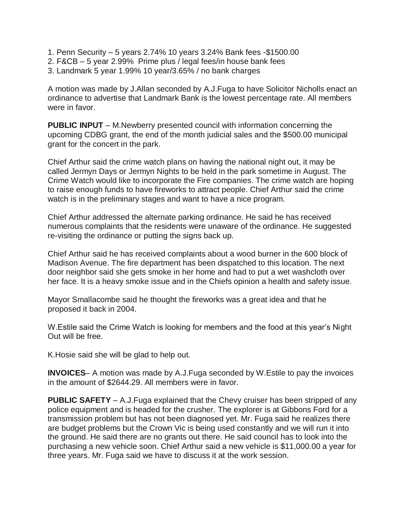- 1. Penn Security 5 years 2.74% 10 years 3.24% Bank fees -\$1500.00
- 2. F&CB 5 year 2.99% Prime plus / legal fees/in house bank fees
- 3. Landmark 5 year 1.99% 10 year/3.65% / no bank charges

A motion was made by J.Allan seconded by A.J.Fuga to have Solicitor Nicholls enact an ordinance to advertise that Landmark Bank is the lowest percentage rate. All members were in favor.

**PUBLIC INPUT** – M.Newberry presented council with information concerning the upcoming CDBG grant, the end of the month judicial sales and the \$500.00 municipal grant for the concert in the park.

Chief Arthur said the crime watch plans on having the national night out, it may be called Jermyn Days or Jermyn Nights to be held in the park sometime in August. The Crime Watch would like to incorporate the Fire companies. The crime watch are hoping to raise enough funds to have fireworks to attract people. Chief Arthur said the crime watch is in the preliminary stages and want to have a nice program.

Chief Arthur addressed the alternate parking ordinance. He said he has received numerous complaints that the residents were unaware of the ordinance. He suggested re-visiting the ordinance or putting the signs back up.

Chief Arthur said he has received complaints about a wood burner in the 600 block of Madison Avenue. The fire department has been dispatched to this location. The next door neighbor said she gets smoke in her home and had to put a wet washcloth over her face. It is a heavy smoke issue and in the Chiefs opinion a health and safety issue.

Mayor Smallacombe said he thought the fireworks was a great idea and that he proposed it back in 2004.

W.Estile said the Crime Watch is looking for members and the food at this year's Night Out will be free.

K.Hosie said she will be glad to help out.

**INVOICES**– A motion was made by A.J.Fuga seconded by W.Estile to pay the invoices in the amount of \$2644.29. All members were in favor.

**PUBLIC SAFETY** – A.J.Fuga explained that the Chevy cruiser has been stripped of any police equipment and is headed for the crusher. The explorer is at Gibbons Ford for a transmission problem but has not been diagnosed yet. Mr. Fuga said he realizes there are budget problems but the Crown Vic is being used constantly and we will run it into the ground. He said there are no grants out there. He said council has to look into the purchasing a new vehicle soon. Chief Arthur said a new vehicle is \$11,000.00 a year for three years. Mr. Fuga said we have to discuss it at the work session.